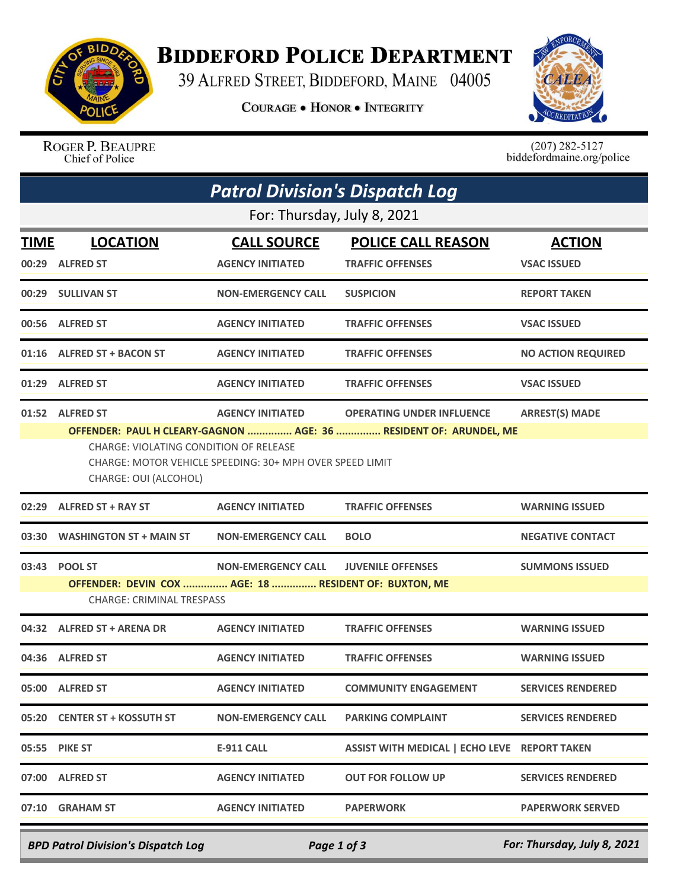

## **BIDDEFORD POLICE DEPARTMENT**

39 ALFRED STREET, BIDDEFORD, MAINE 04005

**COURAGE . HONOR . INTEGRITY** 



ROGER P. BEAUPRE Chief of Police

 $(207)$  282-5127<br>biddefordmaine.org/police

|       | <b>Patrol Division's Dispatch Log</b>                                                                                              |                           |                                              |                           |  |  |  |  |  |
|-------|------------------------------------------------------------------------------------------------------------------------------------|---------------------------|----------------------------------------------|---------------------------|--|--|--|--|--|
|       | For: Thursday, July 8, 2021                                                                                                        |                           |                                              |                           |  |  |  |  |  |
| TIME  | <b>LOCATION</b>                                                                                                                    | <b>CALL SOURCE</b>        | <b>POLICE CALL REASON</b>                    | <b>ACTION</b>             |  |  |  |  |  |
|       | 00:29 ALFRED ST                                                                                                                    | <b>AGENCY INITIATED</b>   | <b>TRAFFIC OFFENSES</b>                      | <b>VSAC ISSUED</b>        |  |  |  |  |  |
|       | 00:29 SULLIVAN ST                                                                                                                  | <b>NON-EMERGENCY CALL</b> | <b>SUSPICION</b>                             | <b>REPORT TAKEN</b>       |  |  |  |  |  |
| 00:56 | <b>ALFRED ST</b>                                                                                                                   | <b>AGENCY INITIATED</b>   | <b>TRAFFIC OFFENSES</b>                      | <b>VSAC ISSUED</b>        |  |  |  |  |  |
| 01:16 | <b>ALFRED ST + BACON ST</b>                                                                                                        | <b>AGENCY INITIATED</b>   | <b>TRAFFIC OFFENSES</b>                      | <b>NO ACTION REQUIRED</b> |  |  |  |  |  |
|       | 01:29 ALFRED ST                                                                                                                    | <b>AGENCY INITIATED</b>   | <b>TRAFFIC OFFENSES</b>                      | <b>VSAC ISSUED</b>        |  |  |  |  |  |
|       | 01:52 ALFRED ST                                                                                                                    | <b>AGENCY INITIATED</b>   | <b>OPERATING UNDER INFLUENCE</b>             | <b>ARREST(S) MADE</b>     |  |  |  |  |  |
|       | <b>CHARGE: VIOLATING CONDITION OF RELEASE</b><br>CHARGE: MOTOR VEHICLE SPEEDING: 30+ MPH OVER SPEED LIMIT<br>CHARGE: OUI (ALCOHOL) |                           |                                              |                           |  |  |  |  |  |
| 02:29 | ALFRED ST + RAY ST                                                                                                                 | <b>AGENCY INITIATED</b>   | <b>TRAFFIC OFFENSES</b>                      | <b>WARNING ISSUED</b>     |  |  |  |  |  |
| 03:30 | <b>WASHINGTON ST + MAIN ST</b>                                                                                                     | <b>NON-EMERGENCY CALL</b> | <b>BOLO</b>                                  | <b>NEGATIVE CONTACT</b>   |  |  |  |  |  |
| 03:43 | <b>POOL ST</b>                                                                                                                     | <b>NON-EMERGENCY CALL</b> | <b>JUVENILE OFFENSES</b>                     | <b>SUMMONS ISSUED</b>     |  |  |  |  |  |
|       | OFFENDER: DEVIN COX  AGE: 18  RESIDENT OF: BUXTON, ME<br><b>CHARGE: CRIMINAL TRESPASS</b>                                          |                           |                                              |                           |  |  |  |  |  |
| 04:32 | <b>ALFRED ST + ARENA DR</b>                                                                                                        | <b>AGENCY INITIATED</b>   | <b>TRAFFIC OFFENSES</b>                      | <b>WARNING ISSUED</b>     |  |  |  |  |  |
|       | 04:36 ALFRED ST                                                                                                                    | <b>AGENCY INITIATED</b>   | <b>TRAFFIC OFFENSES</b>                      | <b>WARNING ISSUED</b>     |  |  |  |  |  |
|       | 05:00 ALFRED ST                                                                                                                    | <b>AGENCY INITIATED</b>   | <b>COMMUNITY ENGAGEMENT</b>                  | <b>SERVICES RENDERED</b>  |  |  |  |  |  |
|       | 05:20 CENTER ST + KOSSUTH ST                                                                                                       | <b>NON-EMERGENCY CALL</b> | <b>PARKING COMPLAINT</b>                     | <b>SERVICES RENDERED</b>  |  |  |  |  |  |
|       | 05:55 PIKE ST                                                                                                                      | E-911 CALL                | ASSIST WITH MEDICAL   ECHO LEVE REPORT TAKEN |                           |  |  |  |  |  |
|       | 07:00 ALFRED ST                                                                                                                    | <b>AGENCY INITIATED</b>   | OUT FOR FOLLOW UP                            | <b>SERVICES RENDERED</b>  |  |  |  |  |  |
|       | 07:10 GRAHAM ST                                                                                                                    | <b>AGENCY INITIATED</b>   | <b>PAPERWORK</b>                             | <b>PAPERWORK SERVED</b>   |  |  |  |  |  |

*BPD Patrol Division's Dispatch Log Page 1 of 3 For: Thursday, July 8, 2021*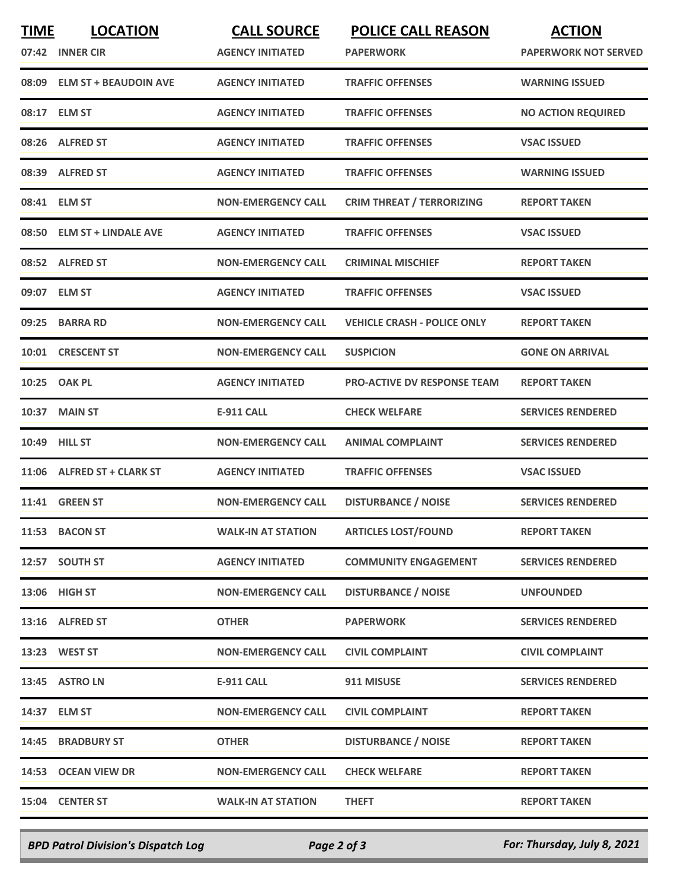| <b>TIME</b> | <b>LOCATION</b>             | <b>CALL SOURCE</b>        | <b>POLICE CALL REASON</b>          | <b>ACTION</b>               |
|-------------|-----------------------------|---------------------------|------------------------------------|-----------------------------|
| 07:42       | <b>INNER CIR</b>            | <b>AGENCY INITIATED</b>   | <b>PAPERWORK</b>                   | <b>PAPERWORK NOT SERVED</b> |
|             | 08:09 ELM ST + BEAUDOIN AVE | <b>AGENCY INITIATED</b>   | <b>TRAFFIC OFFENSES</b>            | <b>WARNING ISSUED</b>       |
|             | 08:17 ELM ST                | <b>AGENCY INITIATED</b>   | <b>TRAFFIC OFFENSES</b>            | <b>NO ACTION REQUIRED</b>   |
|             | 08:26 ALFRED ST             | <b>AGENCY INITIATED</b>   | <b>TRAFFIC OFFENSES</b>            | <b>VSAC ISSUED</b>          |
|             | 08:39 ALFRED ST             | <b>AGENCY INITIATED</b>   | <b>TRAFFIC OFFENSES</b>            | <b>WARNING ISSUED</b>       |
|             | 08:41 ELM ST                | <b>NON-EMERGENCY CALL</b> | <b>CRIM THREAT / TERRORIZING</b>   | <b>REPORT TAKEN</b>         |
|             | 08:50 ELM ST + LINDALE AVE  | <b>AGENCY INITIATED</b>   | <b>TRAFFIC OFFENSES</b>            | <b>VSAC ISSUED</b>          |
|             | 08:52 ALFRED ST             | <b>NON-EMERGENCY CALL</b> | <b>CRIMINAL MISCHIEF</b>           | <b>REPORT TAKEN</b>         |
|             | 09:07 ELM ST                | <b>AGENCY INITIATED</b>   | <b>TRAFFIC OFFENSES</b>            | <b>VSAC ISSUED</b>          |
|             | 09:25 BARRA RD              | <b>NON-EMERGENCY CALL</b> | <b>VEHICLE CRASH - POLICE ONLY</b> | <b>REPORT TAKEN</b>         |
| 10:01       | <b>CRESCENT ST</b>          | <b>NON-EMERGENCY CALL</b> | <b>SUSPICION</b>                   | <b>GONE ON ARRIVAL</b>      |
|             | 10:25 OAK PL                | <b>AGENCY INITIATED</b>   | <b>PRO-ACTIVE DV RESPONSE TEAM</b> | <b>REPORT TAKEN</b>         |
| 10:37       | <b>MAIN ST</b>              | <b>E-911 CALL</b>         | <b>CHECK WELFARE</b>               | <b>SERVICES RENDERED</b>    |
|             | 10:49 HILL ST               | <b>NON-EMERGENCY CALL</b> | <b>ANIMAL COMPLAINT</b>            | <b>SERVICES RENDERED</b>    |
|             | 11:06 ALFRED ST + CLARK ST  | <b>AGENCY INITIATED</b>   | <b>TRAFFIC OFFENSES</b>            | <b>VSAC ISSUED</b>          |
|             | <b>11:41 GREEN ST</b>       | <b>NON-EMERGENCY CALL</b> | <b>DISTURBANCE / NOISE</b>         | <b>SERVICES RENDERED</b>    |
|             | 11:53 BACON ST              | <b>WALK-IN AT STATION</b> | <b>ARTICLES LOST/FOUND</b>         | <b>REPORT TAKEN</b>         |
|             | 12:57 SOUTH ST              | <b>AGENCY INITIATED</b>   | <b>COMMUNITY ENGAGEMENT</b>        | <b>SERVICES RENDERED</b>    |
|             | 13:06 HIGH ST               | <b>NON-EMERGENCY CALL</b> | <b>DISTURBANCE / NOISE</b>         | <b>UNFOUNDED</b>            |
|             | 13:16 ALFRED ST             | <b>OTHER</b>              | <b>PAPERWORK</b>                   | <b>SERVICES RENDERED</b>    |
|             | 13:23 WEST ST               | <b>NON-EMERGENCY CALL</b> | <b>CIVIL COMPLAINT</b>             | <b>CIVIL COMPLAINT</b>      |
|             | 13:45 ASTRO LN              | <b>E-911 CALL</b>         | 911 MISUSE                         | <b>SERVICES RENDERED</b>    |
|             | 14:37 ELM ST                | <b>NON-EMERGENCY CALL</b> | <b>CIVIL COMPLAINT</b>             | <b>REPORT TAKEN</b>         |
|             | 14:45 BRADBURY ST           | <b>OTHER</b>              | <b>DISTURBANCE / NOISE</b>         | <b>REPORT TAKEN</b>         |
|             | 14:53 OCEAN VIEW DR         | <b>NON-EMERGENCY CALL</b> | <b>CHECK WELFARE</b>               | <b>REPORT TAKEN</b>         |
|             | 15:04 CENTER ST             | <b>WALK-IN AT STATION</b> | <b>THEFT</b>                       | <b>REPORT TAKEN</b>         |
|             |                             |                           |                                    |                             |

*BPD Patrol Division's Dispatch Log Page 2 of 3 For: Thursday, July 8, 2021*